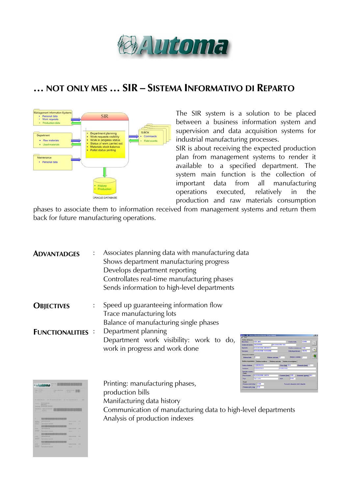

## **… NOT ONLY MES … SIR – SISTEMA INFORMATIVO DI REPARTO**



The SIR system is a solution to be placed between a business information system and supervision and data acquisition systems for industrial manufacturing processes.

SIR is about receiving the expected production plan from management systems to render it available to a specified department. The system main function is the collection of important data from all manufacturing operations executed, relatively in the production and raw materials consumption

phases to associate them to information received from management systems and return them back for future manufacturing operations.

| <b>ADVANTADGES</b>      | Associates planning data with manufacturing data<br>Shows department manufacturing progress<br>Develops department reporting<br>Controllates real-time manufacturing phases<br>Sends information to high-level departments |
|-------------------------|----------------------------------------------------------------------------------------------------------------------------------------------------------------------------------------------------------------------------|
| <b>OBJECTIVES</b>       | Speed up guaranteeing information flow<br>Trace manufacturing lots                                                                                                                                                         |
|                         | Balance of manufacturing single phases                                                                                                                                                                                     |
| <b>FUNCTIONALITIES:</b> | Department planning                                                                                                                                                                                                        |
|                         | Department work visibility: work to do,<br>work in progress and work done                                                                                                                                                  |

| <b>Circles di Incorpo</b><br>Marchine                                               | COD MAC                      | <b>TETHA</b><br><b>Confident Service</b>                                        |          |
|-------------------------------------------------------------------------------------|------------------------------|---------------------------------------------------------------------------------|----------|
| Define of Income (2003/177771)                                                      |                              | <b>DESCRIPONE DD</b>                                                            |          |
| <b><i><u>Improved</u></i></b>                                                       | <b>CALSCART INFORMED</b>     | <b>Codico commessa COM</b>                                                      |          |
| Versions                                                                            | <b>DOCSORGZIONE</b> VERSIONE | Q no die preferenze   140716                                                    | $\gamma$ |
| <b>Triuszone bubine</b><br><b>Bulling John</b>                                      | n.                           | <b>Bishine scanate 1</b><br><b>Baltimo concrete 1</b>                           |          |
|                                                                                     |                              | Echina in polisiers   Echina is attress   Echina caricala   Echina is syntatura |          |
|                                                                                     |                              |                                                                                 |          |
|                                                                                     | 1120820-2515                 | Peso digt. 7511<br><b>Climates (mm) / 1</b>                                     |          |
|                                                                                     | <b>SEGREZZISTE</b>           | <b>FOUND TOTAL</b>                                                              |          |
| Ciette                                                                              |                              |                                                                                 |          |
| <b>Codes Index</b><br><b><i><u>Foreshow</u></i></b><br>Causale essenci<br>Панимания | THE SERIE PERMIT CARETA      | Grammat Zachugz 40.5<br>Formats (nm) 74th                                       |          |
| Tigan                                                                               | Tiges costs                  | <b>B</b> MAIL<br><b>MEA</b>                                                     |          |

| <b>East Street</b><br><b>TEN FIRMS</b>                                                                                                                       |                                            | <b>TAX REPAIRS</b><br>$\sim$ | <b><i>Affordability (44)</i></b><br><b>ASSESSED</b> |             |
|--------------------------------------------------------------------------------------------------------------------------------------------------------------|--------------------------------------------|------------------------------|-----------------------------------------------------|-------------|
|                                                                                                                                                              |                                            |                              |                                                     |             |
| <b>SE-INDEX-AMIRE</b>                                                                                                                                        | н                                          | THE AMERICAN WAR WIDELE      | The company text is determined                      |             |
|                                                                                                                                                              |                                            |                              |                                                     |             |
|                                                                                                                                                              | Louis C SEASONS IS<br><b>SERGIANIA 111</b> |                              |                                                     |             |
| <b>Service Ave</b>                                                                                                                                           | <b><i>CARACTERS TRUNK</i></b>              |                              |                                                     |             |
| <b>September 6</b><br>ı                                                                                                                                      | <b>Transport Comment</b><br>4300           |                              |                                                     |             |
|                                                                                                                                                              |                                            |                              |                                                     |             |
|                                                                                                                                                              |                                            |                              |                                                     |             |
|                                                                                                                                                              |                                            |                              |                                                     |             |
|                                                                                                                                                              |                                            |                              |                                                     |             |
|                                                                                                                                                              | <b>FRIDERING</b>                           |                              |                                                     |             |
|                                                                                                                                                              | <b>FERENCE</b>                             |                              | <b>The American</b>                                 | $\cdots$    |
|                                                                                                                                                              | 1223110-014                                |                              | <b>Service</b>                                      | ۰           |
|                                                                                                                                                              | 13-13111<br><b><i>DER RESERVESS</i></b>    |                              | The art of the property                             | 14, 144     |
|                                                                                                                                                              |                                            |                              | n.                                                  |             |
|                                                                                                                                                              | <b>START CALLER</b>                        |                              | <b>Service</b> 1                                    | ۰           |
|                                                                                                                                                              |                                            |                              |                                                     | ٠           |
|                                                                                                                                                              | <b><i>ASSISTENTIAL</i></b>                 |                              | <b>CARD AND COMPANY</b>                             | <b>STAR</b> |
|                                                                                                                                                              |                                            | ٠                            | <b>Service</b>                                      | ۲           |
|                                                                                                                                                              |                                            |                              |                                                     |             |
| ٠<br>a a<br><b>Service</b><br>-<br>٠<br><b>Service</b><br><b>Searching</b><br>-<br>٠<br><b>STATE</b><br><b>Service</b><br>-<br>٠<br>-<br><b>Service Road</b> | <b>MARCHERS</b>                            |                              | The American                                        | 111         |

Printing: manufacturing phases, production bills Manifacturing data history Communication of manufacturing data to high-level departments Analysis of production indexes